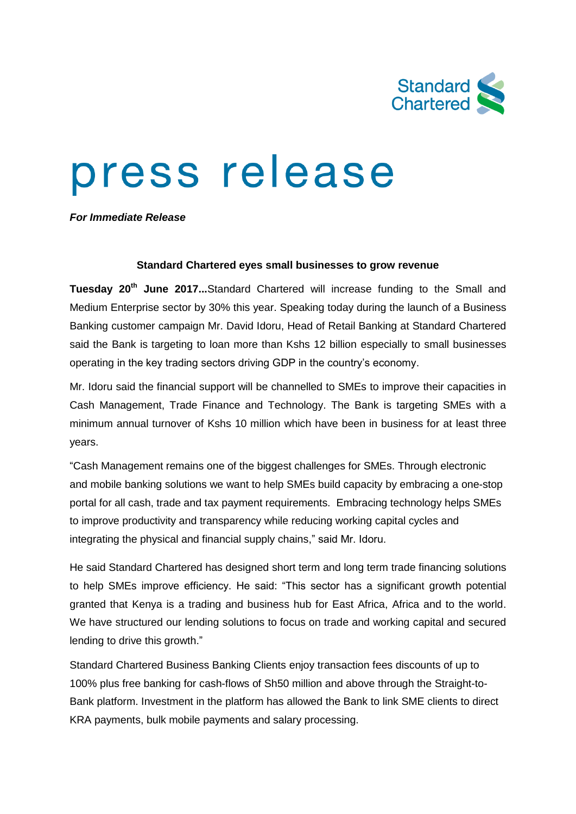

## press release

*For Immediate Release*

## **Standard Chartered eyes small businesses to grow revenue**

**Tuesday 20th June 2017...**Standard Chartered will increase funding to the Small and Medium Enterprise sector by 30% this year. Speaking today during the launch of a Business Banking customer campaign Mr. David Idoru, Head of Retail Banking at Standard Chartered said the Bank is targeting to loan more than Kshs 12 billion especially to small businesses operating in the key trading sectors driving GDP in the country's economy.

Mr. Idoru said the financial support will be channelled to SMEs to improve their capacities in Cash Management, Trade Finance and Technology. The Bank is targeting SMEs with a minimum annual turnover of Kshs 10 million which have been in business for at least three years.

"Cash Management remains one of the biggest challenges for SMEs. Through electronic and mobile banking solutions we want to help SMEs build capacity by embracing a one-stop portal for all cash, trade and tax payment requirements. Embracing technology helps SMEs to improve productivity and transparency while reducing working capital cycles and integrating the physical and financial supply chains," said Mr. Idoru.

He said Standard Chartered has designed short term and long term trade financing solutions to help SMEs improve efficiency. He said: "This sector has a significant growth potential granted that Kenya is a trading and business hub for East Africa, Africa and to the world. We have structured our lending solutions to focus on trade and working capital and secured lending to drive this growth."

Standard Chartered Business Banking Clients enjoy transaction fees discounts of up to 100% plus free banking for cash-flows of Sh50 million and above through the Straight-to-Bank platform. Investment in the platform has allowed the Bank to link SME clients to direct KRA payments, bulk mobile payments and salary processing.